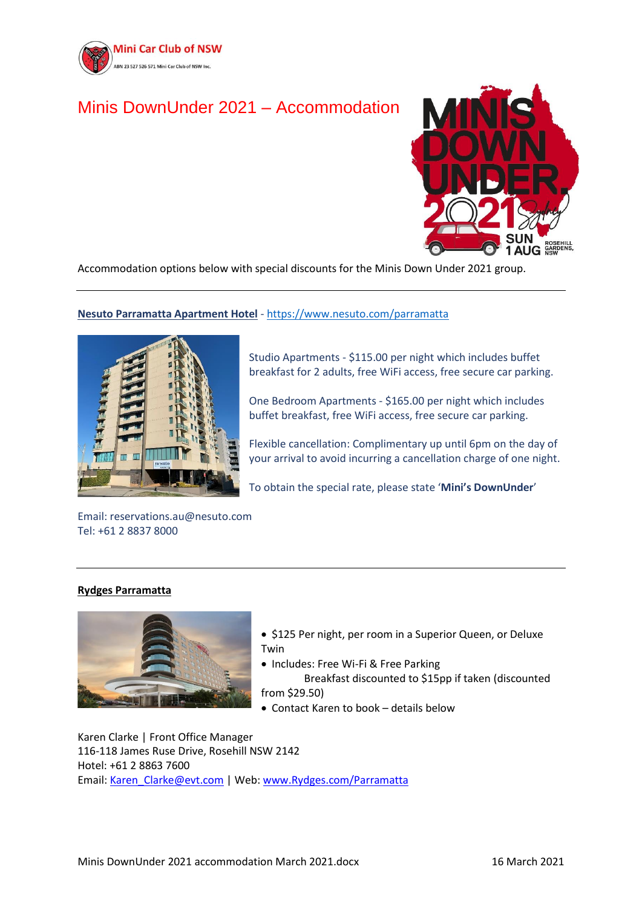

# Minis DownUnder 2021 – Accommodation



Accommodation options below with special discounts for the Minis Down Under 2021 group.

# **Nesuto Parramatta Apartment Hotel** - <https://www.nesuto.com/parramatta>



Studio Apartments - \$115.00 per night which includes buffet breakfast for 2 adults, free WiFi access, free secure car parking.

One Bedroom Apartments - \$165.00 per night which includes buffet breakfast, free WiFi access, free secure car parking.

Flexible cancellation: Complimentary up until 6pm on the day of your arrival to avoid incurring a cancellation charge of one night.

To obtain the special rate, please state '**Mini's DownUnder**'

Email: reservations.au@nesuto.com Tel: +61 2 8837 8000

## **[Rydges Parramatta](http://www.rydges.com/Parramatta)**



• \$125 Per night, per room in a Superior Queen, or Deluxe Twin

• Includes: Free Wi-Fi & Free Parking

 Breakfast discounted to \$15pp if taken (discounted from \$29.50)

• Contact Karen to book – details below

Karen Clarke | Front Office Manager 116-118 James Ruse Drive, Rosehill NSW 2142 Hotel: +61 2 8863 7600 Email: [Karen\\_Clarke@evt.com](mailto:Karen_Clarke@evt.com) | Web: [www.Rydges.com/Parramatta](http://www.rydges.com/Parramatta)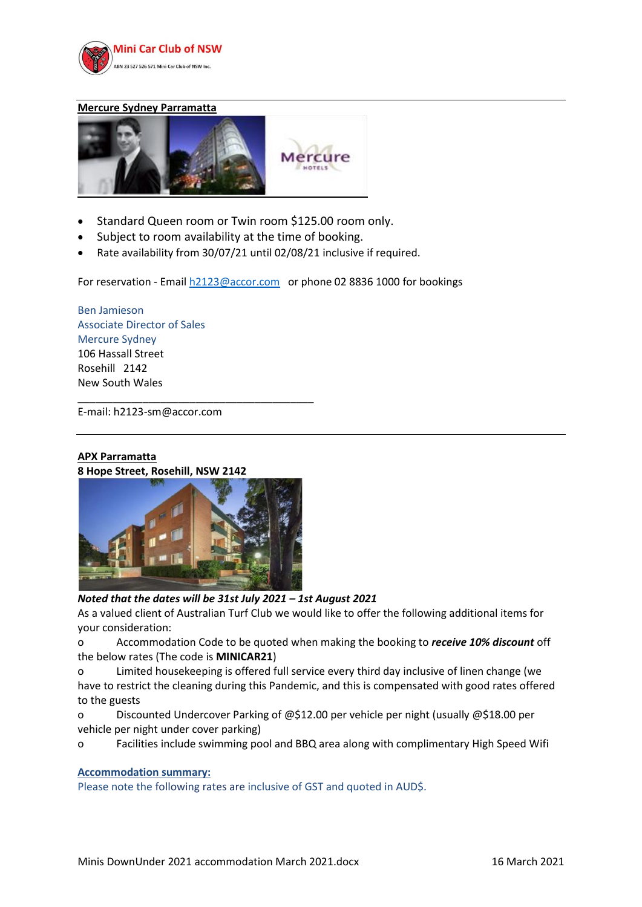

#### **Mercure Sydney Parramatta**



- Standard Queen room or Twin room \$125.00 room only.
- Subject to room availability at the time of booking.
- Rate availability from 30/07/21 until 02/08/21 inclusive if required.

For reservation - Emai[l h2123@accor.com](mailto:h2123@accor.com) or phone 02 8836 1000 for bookings

Ben Jamieson Associate Director of Sales Mercure Sydney 106 Hassall Street Rosehill 2142 New South Wales

E-mail: h2123-sm@accor.com

# **[APX Parramatta](https://linkprotect.cudasvc.com/url?a=http%3a%2f%2fwww.apxhotelsapartments.com&c=E,1,YzuDtz2OGUS-5xPpCtc5dEyrmOfppKk75O4MHXFjZrri4-TaU5zKa8K93ZKM5j9dfQUTEx-CyA5Vxc0cerc2YmoyQSuFlC1kORYE_zBGdwVQmx3s5-c,&typo=1) 8 Hope Street, Rosehill, NSW 2142**



\_\_\_\_\_\_\_\_\_\_\_\_\_\_\_\_\_\_\_\_\_\_\_\_\_\_\_\_\_\_\_\_\_\_\_\_\_\_\_\_

*Noted that the dates will be 31st July 2021 – 1st August 2021* 

As a valued client of Australian Turf Club we would like to offer the following additional items for your consideration:

o Accommodation Code to be quoted when making the booking to *receive 10% discount* off the below rates (The code is **MINICAR21**)

o Limited housekeeping is offered full service every third day inclusive of linen change (we have to restrict the cleaning during this Pandemic, and this is compensated with good rates offered to the guests

o Discounted Undercover Parking of @\$12.00 per vehicle per night (usually @\$18.00 per vehicle per night under cover parking)

o Facilities include swimming pool and BBQ area along with complimentary High Speed Wifi

## **Accommodation summary:**

Please note the following rates are inclusive of GST and quoted in AUD\$.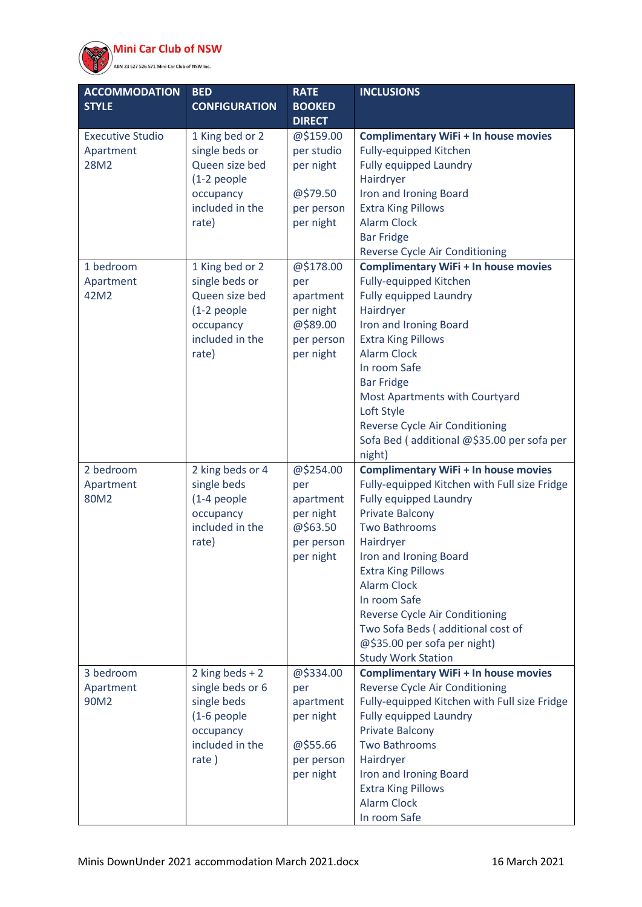

)<br>ABN 23 527 526 571 Mini Car Club of NSW Inc.

| ACCOMMODATION           | <b>BED</b>                   | <b>RATE</b>                | <b>INCLUSIONS</b>                                                   |
|-------------------------|------------------------------|----------------------------|---------------------------------------------------------------------|
| <b>STYLE</b>            | <b>CONFIGURATION</b>         | <b>BOOKED</b>              |                                                                     |
| <b>Executive Studio</b> | 1 King bed or 2              | <b>DIRECT</b><br>@\$159.00 | <b>Complimentary WiFi + In house movies</b>                         |
| Apartment               | single beds or               | per studio                 | Fully-equipped Kitchen                                              |
| 28M2                    | Queen size bed               | per night                  | <b>Fully equipped Laundry</b>                                       |
|                         | (1-2 people                  |                            | Hairdryer                                                           |
|                         | occupancy                    | @\$79.50                   | Iron and Ironing Board                                              |
|                         | included in the              | per person                 | <b>Extra King Pillows</b>                                           |
|                         | rate)                        | per night                  | <b>Alarm Clock</b>                                                  |
|                         |                              |                            | <b>Bar Fridge</b>                                                   |
|                         |                              |                            | Reverse Cycle Air Conditioning                                      |
| 1 bedroom               | 1 King bed or 2              | @\$178.00                  | <b>Complimentary WiFi + In house movies</b>                         |
| Apartment               | single beds or               | per                        | Fully-equipped Kitchen                                              |
| 42M2                    | Queen size bed               | apartment                  | <b>Fully equipped Laundry</b>                                       |
|                         | (1-2 people                  | per night                  | Hairdryer                                                           |
|                         | occupancy<br>included in the | @\$89.00<br>per person     | Iron and Ironing Board<br><b>Extra King Pillows</b>                 |
|                         | rate)                        | per night                  | <b>Alarm Clock</b>                                                  |
|                         |                              |                            | In room Safe                                                        |
|                         |                              |                            | <b>Bar Fridge</b>                                                   |
|                         |                              |                            | Most Apartments with Courtyard                                      |
|                         |                              |                            | Loft Style                                                          |
|                         |                              |                            | Reverse Cycle Air Conditioning                                      |
|                         |                              |                            | Sofa Bed (additional @\$35.00 per sofa per                          |
|                         |                              |                            | night)                                                              |
| 2 bedroom               | 2 king beds or 4             | @\$254.00                  | <b>Complimentary WiFi + In house movies</b>                         |
| Apartment               | single beds                  | per                        | Fully-equipped Kitchen with Full size Fridge                        |
| 80M2                    | (1-4 people                  | apartment                  | <b>Fully equipped Laundry</b>                                       |
|                         | occupancy                    | per night                  | <b>Private Balcony</b>                                              |
|                         | included in the              | @\$63.50                   | <b>Two Bathrooms</b>                                                |
|                         | rate)                        | per person                 | Hairdryer                                                           |
|                         |                              | per night                  | Iron and Ironing Board                                              |
|                         |                              |                            | <b>Extra King Pillows</b>                                           |
|                         |                              |                            | <b>Alarm Clock</b>                                                  |
|                         |                              |                            | In room Safe                                                        |
|                         |                              |                            | Reverse Cycle Air Conditioning<br>Two Sofa Beds (additional cost of |
|                         |                              |                            | @\$35.00 per sofa per night)                                        |
|                         |                              |                            | <b>Study Work Station</b>                                           |
| 3 bedroom               | 2 king beds $+2$             | @\$334.00                  | <b>Complimentary WiFi + In house movies</b>                         |
| Apartment               | single beds or 6             | per                        | Reverse Cycle Air Conditioning                                      |
| 90M2                    | single beds                  | apartment                  | Fully-equipped Kitchen with Full size Fridge                        |
|                         | (1-6 people                  | per night                  | <b>Fully equipped Laundry</b>                                       |
|                         | occupancy                    |                            | <b>Private Balcony</b>                                              |
|                         | included in the              | @\$55.66                   | <b>Two Bathrooms</b>                                                |
|                         | rate $)$                     | per person                 | Hairdryer                                                           |
|                         |                              | per night                  | Iron and Ironing Board                                              |
|                         |                              |                            | <b>Extra King Pillows</b>                                           |
|                         |                              |                            | <b>Alarm Clock</b>                                                  |
|                         |                              |                            | In room Safe                                                        |